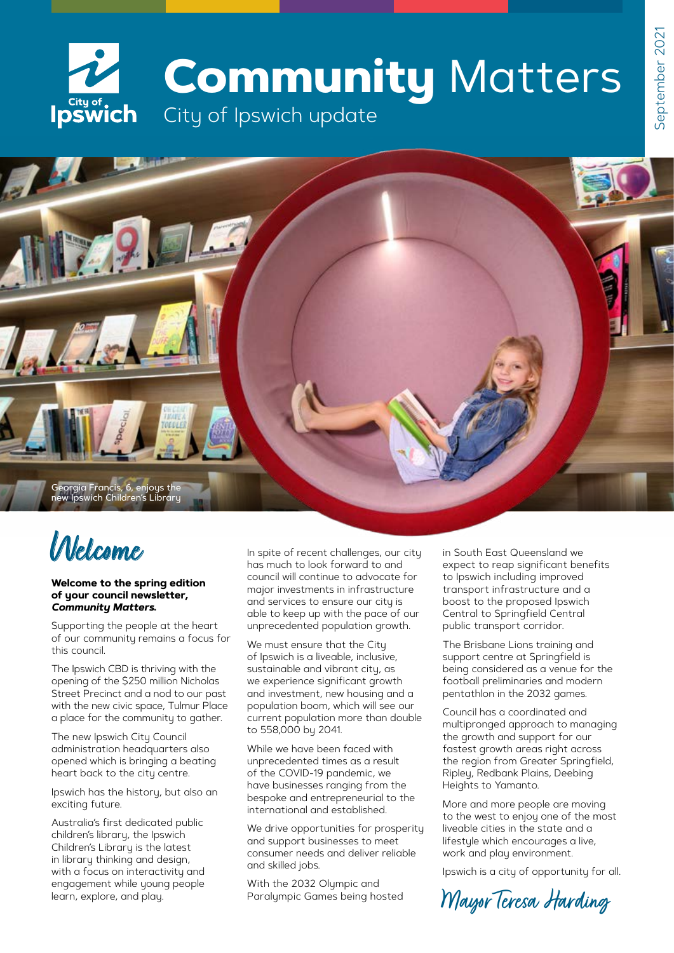# **Community** Matters City of , City of , City of Ipswich update



# **Welcome**

#### **Welcome to the spring edition of your council newsletter,**  *Community Matters***.**

Supporting the people at the heart of our community remains a focus for this council.

The Ipswich CBD is thriving with the opening of the \$250 million Nicholas Street Precinct and a nod to our past with the new civic space, Tulmur Place a place for the community to gather.

The new Ipswich City Council administration headquarters also opened which is bringing a beating heart back to the city centre.

Ipswich has the history, but also an exciting future.

Australia's first dedicated public children's library, the Ipswich Children's Library is the latest in library thinking and design, with a focus on interactivity and engagement while young people learn, explore, and play.

In spite of recent challenges, our city has much to look forward to and council will continue to advocate for major investments in infrastructure and services to ensure our city is able to keep up with the pace of our unprecedented population growth.

We must ensure that the City of Ipswich is a liveable, inclusive, sustainable and vibrant city, as we experience significant growth and investment, new housing and a population boom, which will see our current population more than double to 558,000 by 2041.

While we have been faced with unprecedented times as a result of the COVID-19 pandemic, we have businesses ranging from the bespoke and entrepreneurial to the international and established.

We drive opportunities for prosperity and support businesses to meet consumer needs and deliver reliable and skilled jobs.

With the 2032 Olympic and Paralympic Games being hosted in South East Queensland we expect to reap significant benefits to Ipswich including improved transport infrastructure and a boost to the proposed Ipswich Central to Springfield Central public transport corridor.

The Brisbane Lions training and support centre at Springfield is being considered as a venue for the football preliminaries and modern pentathlon in the 2032 games.

Council has a coordinated and multipronged approach to managing the growth and support for our fastest growth areas right across the region from Greater Springfield, Ripley, Redbank Plains, Deebing Heights to Yamanto.

More and more people are moving to the west to enjoy one of the most liveable cities in the state and a lifestyle which encourages a live, work and play environment.

Ipswich is a city of opportunity for all.

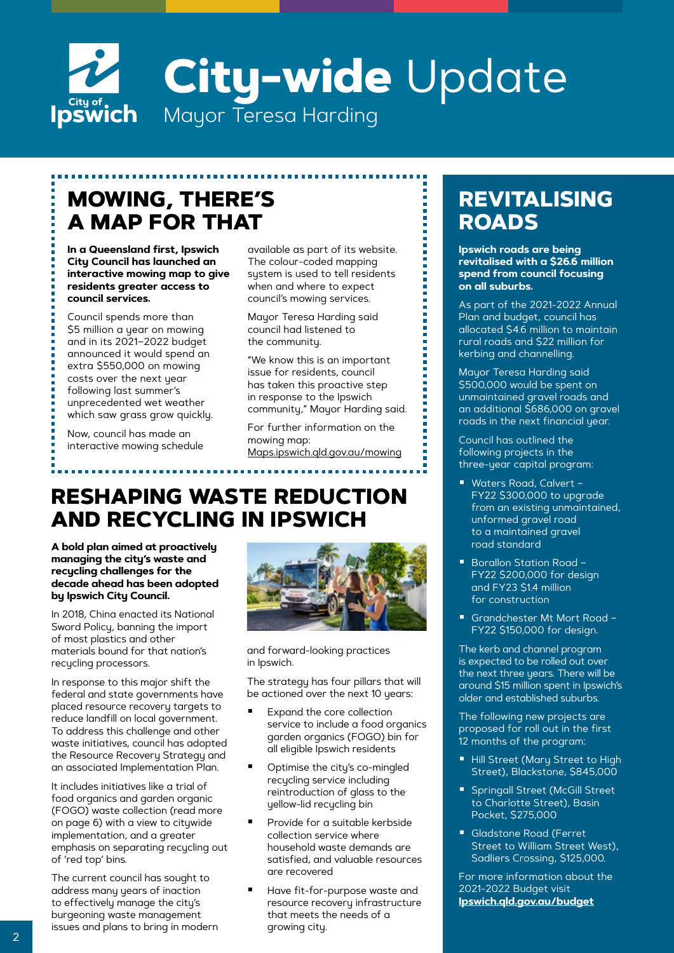# **City-wide** Update **Ipswich** Mayor Teresa Harding

### **MOWING, THERE'S A MAP FOR THAT**

**In a Queensland first, Ipswich City Council has launched an interactive mowing map to give residents greater access to council services.**

Council spends more than \$5 million a year on mowing and in its 2021–2022 budget announced it would spend an extra \$550,000 on mowing costs over the next year following last summer's unprecedented wet weather which saw grass grow quickly.

Now, council has made an interactive mowing schedule available as part of its website. The colour-coded mapping system is used to tell residents when and where to expect council's mowing services.

Mayor Teresa Harding said council had listened to the community.

"We know this is an important issue for residents, council has taken this proactive step in response to the Ipswich community," Mayor Harding said.

For further information on the mowing map: [Maps.ipswich.qld.gov.au/mowing](http://Maps.ipswich.qld.gov.au/mowing)

### **RESHAPING WASTE REDUCTION AND RECYCLING IN IPSWICH**

**A bold plan aimed at proactively managing the city's waste and recycling challenges for the decade ahead has been adopted by Ipswich City Council.**

In 2018, China enacted its National Sword Policy, banning the import of most plastics and other materials bound for that nation's recycling processors.

In response to this major shift the federal and state governments have placed resource recovery targets to reduce landfill on local government. To address this challenge and other waste initiatives, council has adopted the Resource Recovery Strategy and an associated Implementation Plan.

It includes initiatives like a trial of food organics and garden organic (FOGO) waste collection (read more on page 6) with a view to citywide implementation, and a greater emphasis on separating recycling out of 'red top' bins.

The current council has sought to address many years of inaction to effectively manage the city's burgeoning waste management issues and plans to bring in modern



and forward-looking practices in Ipswich.

The strategy has four pillars that will be actioned over the next 10 years:

- Expand the core collection service to include a food organics garden organics (FOGO) bin for all eligible Ipswich residents
- Optimise the city's co-mingled recycling service including reintroduction of glass to the yellow-lid recycling bin
- Provide for a suitable kerbside collection service where household waste demands are satisfied, and valuable resources are recovered
- Have fit-for-purpose waste and resource recovery infrastructure that meets the needs of a growing city.

### **REVITALISING ROADS**

**Ipswich roads are being revitalised with a \$26.6 million spend from council focusing on all suburbs.**

As part of the 2021-2022 Annual Plan and budget, council has allocated \$4.6 million to maintain rural roads and \$22 million for kerbing and channelling.

Mayor Teresa Harding said \$500,000 would be spent on unmaintained gravel roads and an additional \$686,000 on gravel roads in the next financial year.

Council has outlined the following projects in the three-year capital program:

- Waters Road, Calvert -FY22 \$300,000 to upgrade from an existing unmaintained, unformed gravel road to a maintained gravel road standard
- Borallon Station Road -FY22 \$200,000 for design and FY23 \$1.4 million for construction
- Grandchester Mt Mort Road -FY22 \$150,000 for design.

The kerb and channel program is expected to be rolled out over the next three years. There will be around \$15 million spent in Ipswich's older and established suburbs.

The following new projects are proposed for roll out in the first 12 months of the program:

- Hill Street (Mary Street to High Street), Blackstone, \$845,000
- **Springall Street (McGill Street** to Charlotte Street), Basin Pocket, \$275,000
- Gladstone Road (Ferret Street to William Street West), Sadliers Crossing, \$125,000.

For more information about the 2021-2022 Budget visit **[Ipswich.qld.gov.au/budget](http://Ipswich.qld.gov.au/budget)**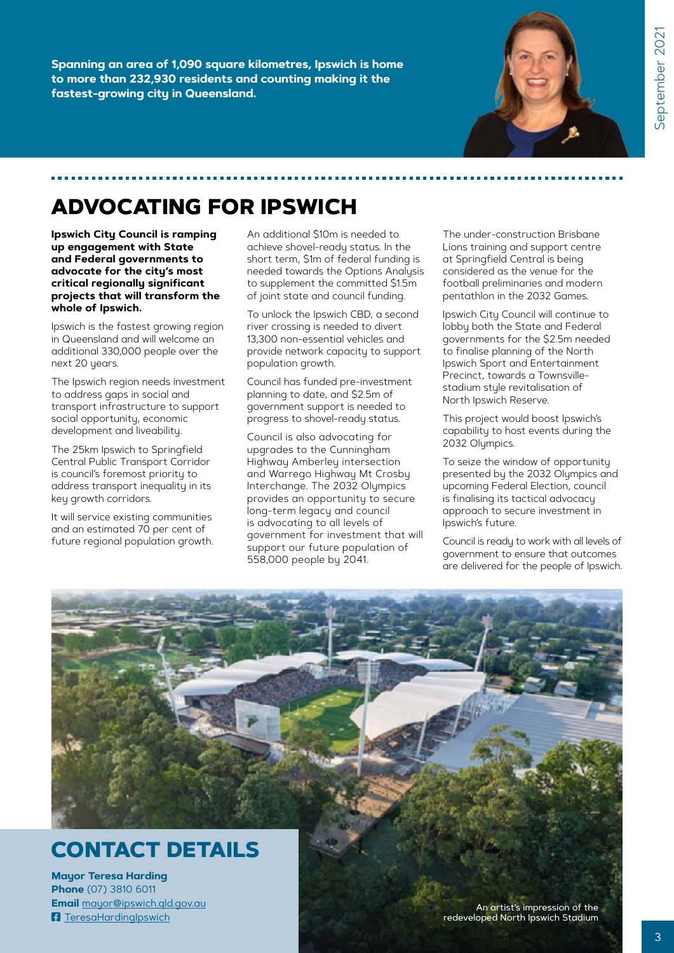**Spanning an area of 1,090 square kilometres, Ipswich is home to more than 232,930 residents and counting making it the fastest-growing city in Queensland.**



### **ADVOCATING FOR IPSWICH**

**Ipswich City Council is ramping up engagement with State and Federal governments to advocate for the city's most critical regionally significant projects that will transform the whole of Ipswich.** 

Ipswich is the fastest growing region in Queensland and will welcome an additional 330,000 people over the next 20 years.

The Ipswich region needs investment to address gaps in social and transport infrastructure to support social opportunity, economic development and liveability.

The 25km Ipswich to Springfield Central Public Transport Corridor is council's foremost priority to address transport inequality in its key growth corridors.

It will service existing communities and an estimated 70 per cent of future regional population growth.

An additional \$10m is needed to achieve shovel-ready status. In the short term, \$1m of federal funding is needed towards the Options Analysis to supplement the committed \$1.5m of joint state and council funding.

To unlock the Ipswich CBD, a second river crossing is needed to divert 13,300 non-essential vehicles and provide network capacity to support population growth.

Council has funded pre-investment planning to date, and \$2.5m of government support is needed to progress to shovel-ready status.

Council is also advocating for upgrades to the Cunningham Highway Amberley intersection and Warrego Highway Mt Crosby Interchange. The 2032 Olympics provides an opportunity to secure long-term legacy and council is advocating to all levels of government for investment that will support our future population of 558,000 people by 2041.

The under-construction Brisbane Lions training and support centre at Springfield Central is being considered as the venue for the football preliminaries and modern pentathlon in the 2032 Games.

Ipswich City Council will continue to lobby both the State and Federal governments for the \$2.5m needed to finalise planning of the North Ipswich Sport and Entertainment Precinct, towards a Townsvillestadium style revitalisation of North Ipswich Reserve.

This project would boost Ipswich's capability to host events during the 2032 Olympics.

To seize the window of opportunity presented by the 2032 Olympics and upcoming Federal Election, council is finalising its tactical advocacy approach to secure investment in Ipswich's future.

Council is ready to work with all levels of government to ensure that outcomes are delivered for the people of Ipswich.

# **CONTACT DETAILS**

**Mayor Teresa Harding Phone** (07) 3810 6011 **Email** [mayor@ipswich.qld.gov.au](mailto:mayor@ipswich.qld.gov.au) **F** [TeresaHardingIpswich](https://www.facebook.com/TeresaHardingIpswich)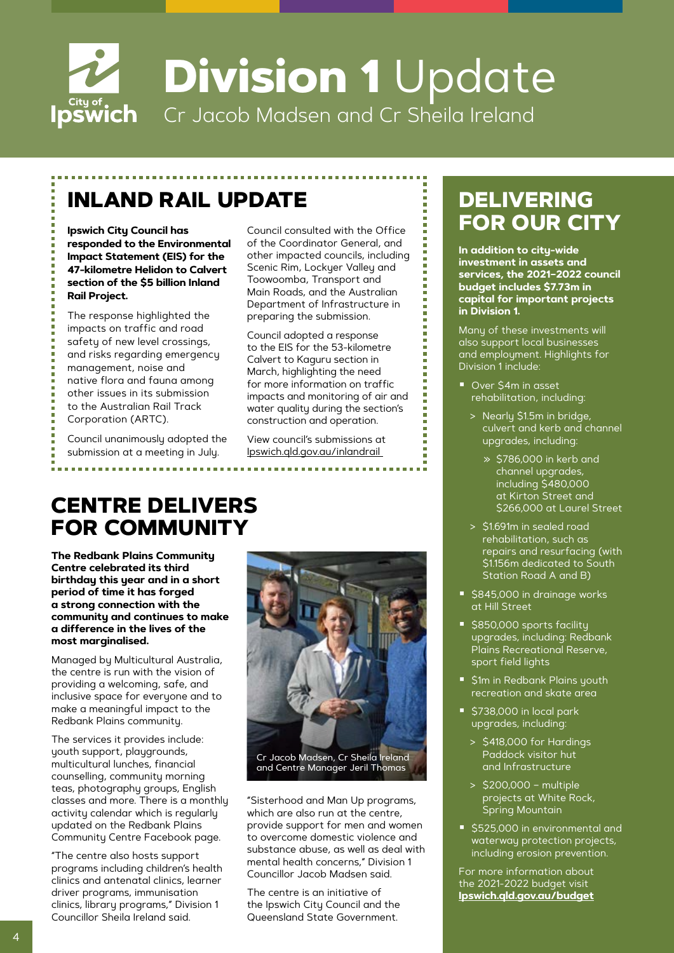

## **INLAND RAIL UPDATE**

**responded to the Environmental Impact Statement (EIS) for the 47-kilometre Helidon to Calvert section of the \$5 billion Inland Rail Project.**

The response highlighted the impacts on traffic and road safety of new level crossings, and risks regarding emergency management, noise and native flora and fauna among other issues in its submission to the Australian Rail Track Corporation (ARTC).

Council unanimously adopted the submission at a meeting in July.

Council consulted with the Office of the Coordinator General, and other impacted councils, including Scenic Rim, Lockuer Valley and Toowoomba, Transport and Main Roads, and the Australian Department of Infrastructure in preparing the submission.

Council adopted a response to the EIS for the 53-kilometre Calvert to Kaguru section in March, highlighting the need for more information on traffic impacts and monitoring of air and water quality during the section's construction and operation.

View council's submissions at [Ipswich.qld.gov.au/inlandrail](http://Ipswich.qld.gov.au/inlandrail) 

### **CENTRE DELIVERS FOR COMMUNITY**

**The Redbank Plains Community Centre celebrated its third birthday this year and in a short period of time it has forged a strong connection with the community and continues to make a difference in the lives of the most marginalised.**

Managed by Multicultural Australia, the centre is run with the vision of providing a welcoming, safe, and inclusive space for everyone and to make a meaningful impact to the Redbank Plains community.

The services it provides include: youth support, playgrounds, multicultural lunches, financial counselling, community morning teas, photography groups, English classes and more. There is a monthly activity calendar which is regularly updated on the Redbank Plains Community Centre Facebook page.

"The centre also hosts support programs including children's health clinics and antenatal clinics, learner driver programs, immunisation clinics, library programs," Division 1 Councillor Sheila Ireland said.



"Sisterhood and Man Up programs, which are also run at the centre, provide support for men and women to overcome domestic violence and substance abuse, as well as deal with mental health concerns," Division 1 Councillor Jacob Madsen said.

The centre is an initiative of the Ipswich City Council and the Queensland State Government.

### **DELIVERING Ipswich City Council has Council consulted with the Office FOR OUR CITY**

**In addition to city-wide investment in assets and services, the 2021–2022 council budget includes \$7.73m in capital for important projects in Division 1.**

Many of these investments will also support local businesses and employment. Highlights for Division 1 include:

- Over \$4m in asset rehabilitation, including:
	- > Nearly \$1.5m in bridge, culvert and kerb and channel upgrades, including:
		- » \$786,000 in kerb and channel upgrades, including \$480,000 at Kirton Street and \$266,000 at Laurel Street
	- > \$1.691m in sealed road rehabilitation, such as repairs and resurfacing (with \$1.156m dedicated to South Station Road A and B)
- \$845,000 in drainage works at Hill Street
- S850,000 sports facility upgrades, including: Redbank Plains Recreational Reserve, sport field lights
- \$1m in Redbank Plains youth recreation and skate area
- \$738,000 in local park upgrades, including:
	- > \$418,000 for Hardings Paddock visitor hut and Infrastructure
	- > \$200,000 multiple projects at White Rock, Spring Mountain
- **5525,000 in environmental and** waterway protection projects, including erosion prevention.

For more information about the 2021-2022 budget visit **[Ipswich.qld.gov.au/budget](http://Ipswich.qld.gov.au/budget)**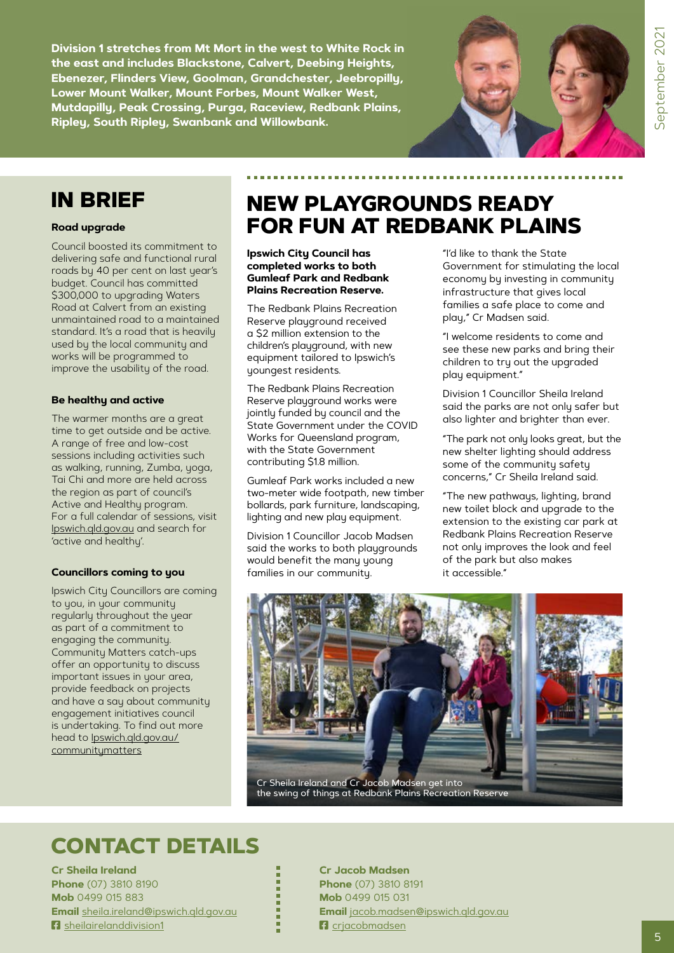**Division 1 stretches from Mt Mort in the west to White Rock in the east and includes Blackstone, Calvert, Deebing Heights, Ebenezer, Flinders View, Goolman, Grandchester, Jeebropilly, Lower Mount Walker, Mount Forbes, Mount Walker West, Mutdapilly, Peak Crossing, Purga, Raceview, Redbank Plains, Ripley, South Ripley, Swanbank and Willowbank.**



### **IN BRIEF**

#### **Road upgrade**

Council boosted its commitment to delivering safe and functional rural roads by 40 per cent on last year's budget. Council has committed \$300,000 to upgrading Waters Road at Calvert from an existing unmaintained road to a maintained standard. It's a road that is heavily used by the local community and works will be programmed to improve the usability of the road.

#### **Be healthy and active**

The warmer months are a great time to get outside and be active. A range of free and low-cost sessions including activities such as walking, running, Zumba, yoga, Tai Chi and more are held across the region as part of council's Active and Healthy program. For a full calendar of sessions, visit [Ipswich.qld.gov.au](http://Ipswich.qld.gov.au) and search for 'active and healthy'.

#### **Councillors coming to you**

Ipswich City Councillors are coming to you, in your community regularly throughout the year as part of a commitment to engaging the community. Community Matters catch-ups offer an opportunity to discuss important issues in your area, provide feedback on projects and have a say about community engagement initiatives council is undertaking. To find out more head to **[Ipswich.qld.gov.au/](http://Ipswich.qld.gov.au/communitymatters)** [communitymatters](http://Ipswich.qld.gov.au/communitymatters)

### **NEW PLAYGROUNDS READY FOR FUN AT REDBANK PLAINS**

**Ipswich City Council has completed works to both Gumleaf Park and Redbank Plains Recreation Reserve.**

The Redbank Plains Recreation Reserve playground received a \$2 million extension to the children's playground, with new equipment tailored to Ipswich's youngest residents.

The Redbank Plains Recreation Reserve playground works were jointly funded by council and the State Government under the COVID Works for Queensland program, with the State Government contributing \$1.8 million.

Gumleaf Park works included a new two-meter wide footpath, new timber bollards, park furniture, landscaping, lighting and new play equipment.

Division 1 Councillor Jacob Madsen said the works to both playgrounds would benefit the many young families in our community.

"I'd like to thank the State Government for stimulating the local economy by investing in community infrastructure that gives local families a safe place to come and play," Cr Madsen said.

"I welcome residents to come and see these new parks and bring their children to try out the upgraded play equipment."

Division 1 Councillor Sheila Ireland said the parks are not only safer but also lighter and brighter than ever.

"The park not only looks great, but the new shelter lighting should address some of the community safety concerns," Cr Sheila Ireland said.

"The new pathways, lighting, brand new toilet block and upgrade to the extension to the existing car park at Redbank Plains Recreation Reserve not only improves the look and feel of the park but also makes it accessible."



### **CONTACT DETAILS**

**Cr Sheila Ireland Phone** (07) 3810 8190 **Mob** 0499 015 883 **Email** [sheila.ireland@ipswich.qld.gov.au](mailto:sheila.ireland@ipswich.qld.gov.au) **F** [sheilairelanddivision1](https://www.facebook.com/sheilairelanddivision1)

**Cr Jacob Madsen Phone** (07) 3810 8191 **Mob** 0499 015 031 **Email** [jacob.madsen@ipswich.qld.gov.au](mailto:jacob.madsen@ipswich.qld.gov.au) **F**a criacobmadsen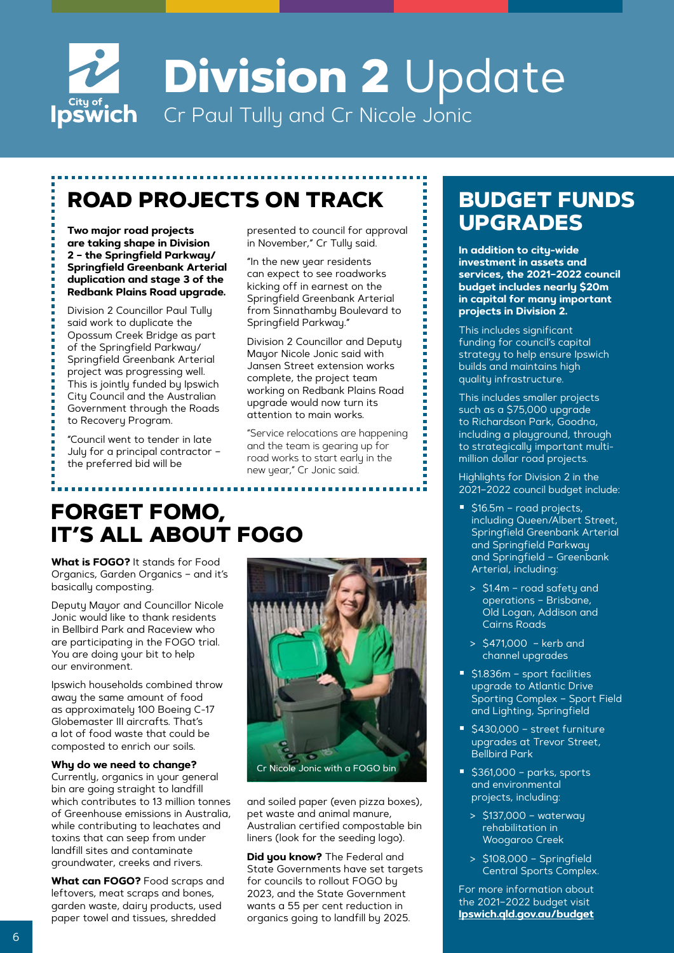

# **ROAD PROJECTS ON TRACK**

**are taking shape in Division 2 – the Springfield Parkway/ Springfield Greenbank Arterial duplication and stage 3 of the Redbank Plains Road upgrade.**

Division 2 Councillor Paul Tully said work to duplicate the Opossum Creek Bridge as part of the Springfield Parkway/ Springfield Greenbank Arterial project was progressing well. This is jointly funded by Ipswich City Council and the Australian Government through the Roads to Recovery Program.

"Council went to tender in late July for a principal contractor – the preferred bid will be

presented to council for approval in November," Cr Tully said.

"In the new year residents can expect to see roadworks kicking off in earnest on the Springfield Greenbank Arterial from Sinnathamby Boulevard to Springfield Parkway."

Division 2 Councillor and Deputy Mayor Nicole Jonic said with Jansen Street extension works complete, the project team working on Redbank Plains Road upgrade would now turn its attention to main works.

"Service relocations are happening and the team is gearing up for road works to start early in the new year," Cr Jonic said.

### **FORGET FOMO, IT'S ALL ABOUT FOGO**

**What is FOGO?** It stands for Food Organics, Garden Organics – and it's basically composting.

Deputy Mayor and Councillor Nicole Jonic would like to thank residents in Bellbird Park and Raceview who are participating in the FOGO trial. You are doing your bit to help our environment.

Ipswich households combined throw away the same amount of food as approximately 100 Boeing C-17 Globemaster III aircrafts. That's a lot of food waste that could be composted to enrich our soils.

#### **Why do we need to change?**

Currently, organics in your general bin are going straight to landfill which contributes to 13 million tonnes of Greenhouse emissions in Australia, while contributing to leachates and toxins that can seep from under landfill sites and contaminate groundwater, creeks and rivers.

**What can FOGO?** Food scraps and leftovers, meat scraps and bones, garden waste, dairy products, used paper towel and tissues, shredded



and soiled paper (even pizza boxes), pet waste and animal manure, Australian certified compostable bin liners (look for the seeding logo).

**Did you know?** The Federal and State Governments have set targets for councils to rollout FOGO by 2023, and the State Government wants a 55 per cent reduction in organics going to landfill by 2025.

### **BUDGET FUNDS Two major road projects** presented to council for approval **Fig. 10 DES**

**In addition to city-wide investment in assets and services, the 2021–2022 council budget includes nearly \$20m in capital for many important projects in Division 2.** 

This includes significant funding for council's capital strategy to help ensure Ipswich builds and maintains high quality infrastructure.

This includes smaller projects such as a \$75,000 upgrade to Richardson Park, Goodna, including a playground, through to strategically important multimillion dollar road projects.

Highlights for Division 2 in the 2021–2022 council budget include:

- S16.5m road projects, including Queen/Albert Street, Springfield Greenbank Arterial and Springfield Parkway and Springfield – Greenbank Arterial, including:
	- > \$1.4m road safety and operations – Brisbane, Old Logan, Addison and Cairns Roads
	- > \$471,000 kerb and channel upgrades
- **51.836m sport facilities** upgrade to Atlantic Drive Sporting Complex – Sport Field and Lighting, Springfield
- S430,000 street furniture upgrades at Trevor Street, Bellbird Park
- $\overline{\phantom{a}}$  \$361,000 parks, sports and environmental projects, including:
	- > \$137,000 waterway rehabilitation in Woogaroo Creek
	- > \$108,000 Springfield Central Sports Complex.

For more information about the 2021–2022 budget visit **[Ipswich.qld.gov.au/budget](http://Ipswich.qld.gov.au/budget)**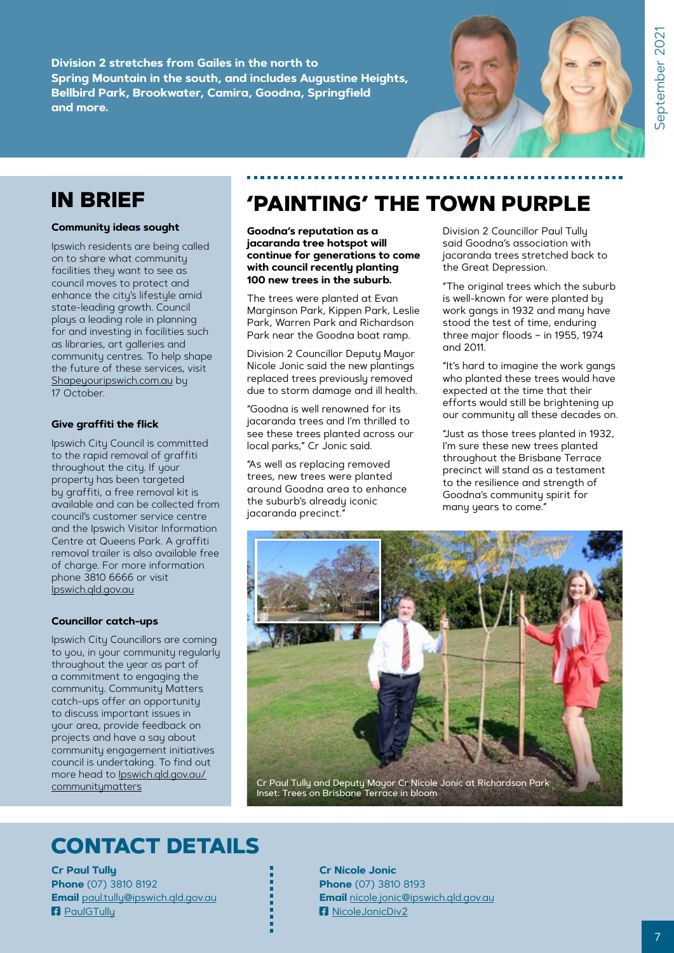**Division 2 stretches from Gailes in the north to Spring Mountain in the south, and includes Augustine Heights, Bellbird Park, Brookwater, Camira, Goodna, Springfield and more.** 



### **IN BRIEF**

#### **Community ideas sought**

Ipswich residents are being called on to share what community facilities they want to see as council moves to protect and enhance the city's lifestyle amid state-leading growth. Council plays a leading role in planning for and investing in facilities such as libraries, art galleries and community centres. To help shape the future of these services, visit [Shapeyouripswich.com.au](http://Shapeyouripswich.com.au) by 17 October.

#### **Give graffiti the flick**

Ipswich City Council is committed to the rapid removal of graffiti throughout the city. If your property has been targeted by graffiti, a free removal kit is available and can be collected from council's customer service centre and the Ipswich Visitor Information Centre at Queens Park. A graffiti removal trailer is also available free of charge. For more information phone 3810 6666 or visit [Ipswich.qld.gov.au](http://Ipswich.qld.gov.au)

#### **Councillor catch-ups**

Ipswich City Councillors are coming to you, in your community regularly throughout the year as part of a commitment to engaging the community. Community Matters catch-ups offer an opportunity to discuss important issues in your area, provide feedback on projects and have a say about community engagement initiatives council is undertaking. To find out more head to [Ipswich.qld.gov.au/](http://Ipswich.qld.gov.au/communitymatters) [communitymatters](http://Ipswich.qld.gov.au/communitymatters)

### **'PAINTING' THE TOWN PURPLE**

**Goodna's reputation as a jacaranda tree hotspot will continue for generations to come with council recently planting 100 new trees in the suburb.**

The trees were planted at Evan Marginson Park, Kippen Park, Leslie Park, Warren Park and Richardson Park near the Goodna boat ramp.

Division 2 Councillor Deputy Mayor Nicole Jonic said the new plantings replaced trees previously removed due to storm damage and ill health.

"Goodna is well renowned for its jacaranda trees and I'm thrilled to see these trees planted across our local parks," Cr Jonic said.

"As well as replacing removed trees, new trees were planted around Goodna area to enhance the suburb's already iconic jacaranda precinct."

Division 2 Councillor Paul Tully said Goodna's association with jacaranda trees stretched back to the Great Depression.

"The original trees which the suburb is well-known for were planted by work gangs in 1932 and many have stood the test of time, enduring three major floods – in 1955, 1974 and 2011.

"It's hard to imagine the work gangs who planted these trees would have expected at the time that their efforts would still be brightening up our community all these decades on.

"Just as those trees planted in 1932, I'm sure these new trees planted throughout the Brisbane Terrace precinct will stand as a testament to the resilience and strength of Goodna's community spirit for many years to come."



### **CONTACT DETAILS**

**Cr Paul Tully Phone** (07) 3810 8192 **Email** [paul.tully@ipswich.qld.gov.au](mailto:paul.tully@ipswich.qld.gov.au) **R** PaulGTullu

**Cr Nicole Jonic Phone** (07) 3810 8193 **Email** [nicole.jonic@ipswich.qld.gov.au](mailto:nicole.jonic@ipswich.qld.gov.au) **F**a [NicoleJonicDiv2](https://www.facebook.com/NicoleJonicDiv2)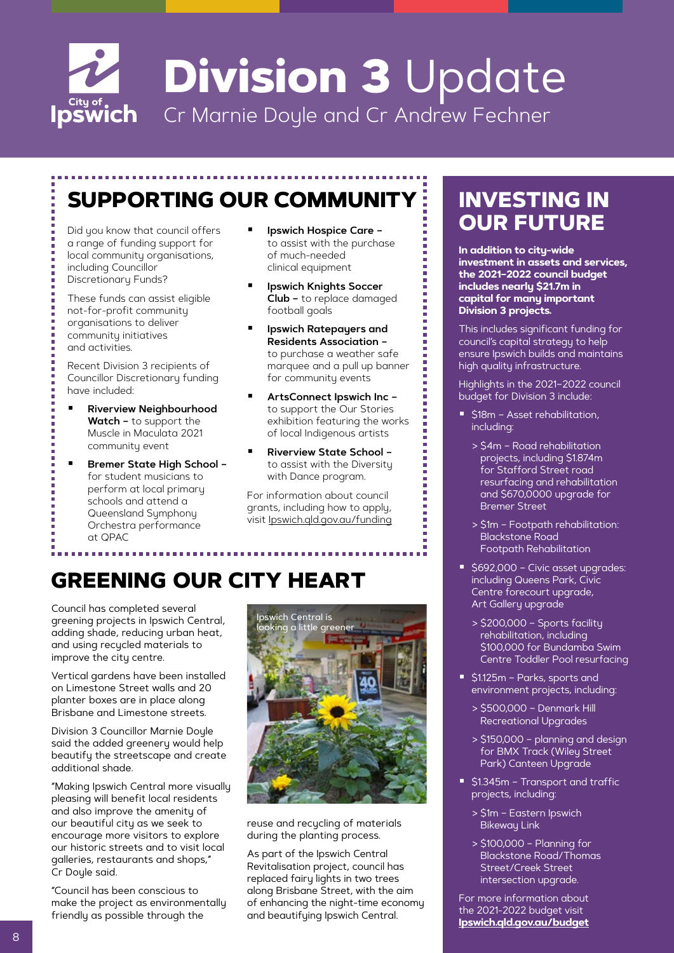

# **SUPPORTING OUR COMMUNITY**

a range of funding support for local community organisations, including Councillor Discretionary Funds?

These funds can assist eligible not-for-profit community organisations to deliver community initiatives and activities.

Recent Division 3 recipients of Councillor Discretionary funding have included:

- **Riverview Neighbourhood Watch –** to support the Muscle in Maculata 2021 community event
- Bremer State High School for student musicians to perform at local primary schools and attend a Queensland Symphony Orchestra performance at QPAC
- **Ipswich Hospice Care –** to assist with the purchase of much-needed clinical equipment
- **Ipswich Knights Soccer Club –** to replace damaged football goals
- **Ipswich Ratepayers and Residents Association –** to purchase a weather safe marquee and a pull up banner for community events
- **ArtsConnect Ipswich Inc –** to support the Our Stories exhibition featuring the works of local Indigenous artists
- **Riverview State School –** to assist with the Diversity with Dance program.

For information about council grants, including how to apply, visit [Ipswich.qld.gov.au/funding](http://Ipswich.qld.gov.au/funding)

# **GREENING OUR CITY HEART**

Council has completed several greening projects in Ipswich Central, adding shade, reducing urban heat, and using recycled materials to improve the city centre.

Vertical gardens have been installed on Limestone Street walls and 20 planter boxes are in place along Brisbane and Limestone streets.

Division 3 Councillor Marnie Doyle said the added greenery would help beautify the streetscape and create additional shade.

"Making Ipswich Central more visually pleasing will benefit local residents and also improve the amenity of our beautiful city as we seek to encourage more visitors to explore our historic streets and to visit local galleries, restaurants and shops," Cr Doyle said.

"Council has been conscious to make the project as environmentally friendly as possible through the



reuse and recycling of materials during the planting process.

As part of the Ipswich Central Revitalisation project, council has replaced fairy lights in two trees along Brisbane Street, with the aim of enhancing the night-time economy and beautifying Ipswich Central.

### **INVESTING IN**  Did you know that council offers **Fig. 10. Inswich Hospice Care - Part 2000 FUTURE**

**In addition to city-wide investment in assets and services, the 2021–2022 council budget includes nearly \$21.7m in capital for many important Division 3 projects.**

This includes significant funding for council's capital strategy to help ensure Ipswich builds and maintains high quality infrastructure.

Highlights in the 2021–2022 council budget for Division 3 include:

- **518m Asset rehabilitation,** including:
	- > \$4m Road rehabilitation projects, including \$1.874m for Stafford Street road resurfacing and rehabilitation and \$670,0000 upgrade for Bremer Street
	- > \$1m Footpath rehabilitation: Blackstone Road Footpath Rehabilitation
- S692,000 Civic asset upgrades: including Queens Park, Civic Centre forecourt upgrade, Art Gallery upgrade
	- > \$200,000 Sports facility rehabilitation, including \$100,000 for Bundamba Swim Centre Toddler Pool resurfacing
- **51.125m Parks, sports and** environment projects, including:
	- > \$500,000 Denmark Hill Recreational Upgrades
	- > \$150,000 planning and design for BMX Track (Wiley Street Park) Canteen Upgrade
- **51.345m Transport and traffic** projects, including:
	- > \$1m Eastern Ipswich **Bikewau Link**
	- > \$100,000 Planning for Blackstone Road/Thomas Street/Creek Street intersection upgrade.

For more information about the 2021-2022 budget visit **[Ipswich.qld.gov.au/budget](http://Ipswich.qld.gov.au/budget)**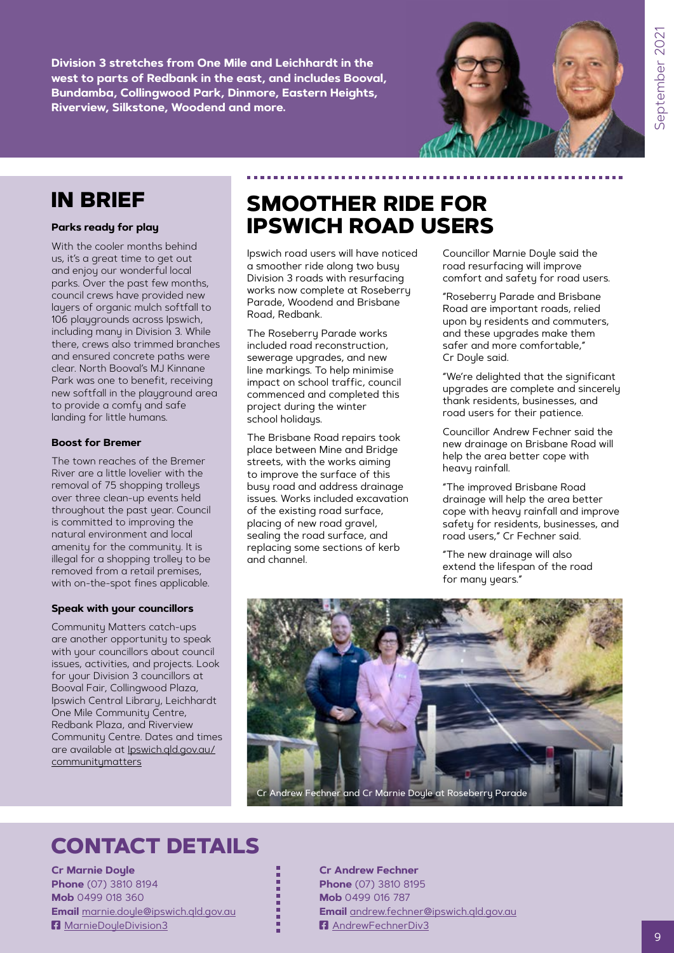September 2021 9 September 2021

**Division 3 stretches from One Mile and Leichhardt in the west to parts of Redbank in the east, and includes Booval, Bundamba, Collingwood Park, Dinmore, Eastern Heights, Riverview, Silkstone, Woodend and more.**



### **IN BRIEF**

#### **Parks ready for play**

With the cooler months behind us, it's a great time to get out and enjoy our wonderful local parks. Over the past few months, council crews have provided new layers of organic mulch softfall to 106 playgrounds across Ipswich, including many in Division 3. While there, crews also trimmed branches and ensured concrete paths were clear. North Booval's MJ Kinnane Park was one to benefit, receiving new softfall in the playground area to provide a comfy and safe landing for little humans.

#### **Boost for Bremer**

The town reaches of the Bremer River are a little lovelier with the removal of 75 shopping trolleys over three clean-up events held throughout the past year. Council is committed to improving the natural environment and local amenity for the community. It is illegal for a shopping trolley to be removed from a retail premises, with on-the-spot fines applicable.

#### **Speak with your councillors**

Community Matters catch-ups are another opportunity to speak with your councillors about council issues, activities, and projects. Look for your Division 3 councillors at Booval Fair, Collingwood Plaza, Ipswich Central Library, Leichhardt One Mile Community Centre, Redbank Plaza, and Riverview Community Centre. Dates and times are available at [Ipswich.qld.gov.au/](http://Ipswich.qld.gov.au/communitymatters) [communitymatters](http://Ipswich.qld.gov.au/communitymatters)

### **SMOOTHER RIDE FOR IPSWICH ROAD USERS**

Ipswich road users will have noticed a smoother ride along two busy Division 3 roads with resurfacing works now complete at Roseberry Parade, Woodend and Brisbane Road, Redbank.

The Roseberry Parade works included road reconstruction, sewerage upgrades, and new line markings. To help minimise impact on school traffic, council commenced and completed this project during the winter school holidays.

The Brisbane Road repairs took place between Mine and Bridge streets, with the works aiming to improve the surface of this busy road and address drainage issues. Works included excavation of the existing road surface, placing of new road gravel, sealing the road surface, and replacing some sections of kerb and channel.

Councillor Marnie Doyle said the road resurfacing will improve comfort and safety for road users.

"Roseberry Parade and Brisbane Road are important roads, relied upon by residents and commuters, and these upgrades make them safer and more comfortable," Cr Doyle said.

"We're delighted that the significant upgrades are complete and sincerely thank residents, businesses, and road users for their patience.

Councillor Andrew Fechner said the new drainage on Brisbane Road will help the area better cope with heavy rainfall.

"The improved Brisbane Road drainage will help the area better cope with heavy rainfall and improve safety for residents, businesses, and road users," Cr Fechner said.

"The new drainage will also extend the lifespan of the road for many years."



### **CONTACT DETAILS**

**Cr Marnie Doyle Phone** (07) 3810 8194 **Mob** 0499 018 360 **Email** [marnie.doyle@ipswich.qld.gov.au](mailto:marnie.doyle@ipswich.qld.gov.au) **F** [MarnieDoyleDivision3](https://www.facebook.com/MarnieDoyleDivision3)

**Cr Andrew Fechner Phone** (07) 3810 8195 **Mob** 0499 016 787 **Email** [andrew.fechner@ipswich.qld.gov.au](mailto:andrew.fechner@ipswich.qld.gov.au) **F** [AndrewFechnerDiv3](https://www.facebook.com/AndrewFechnerDiv3)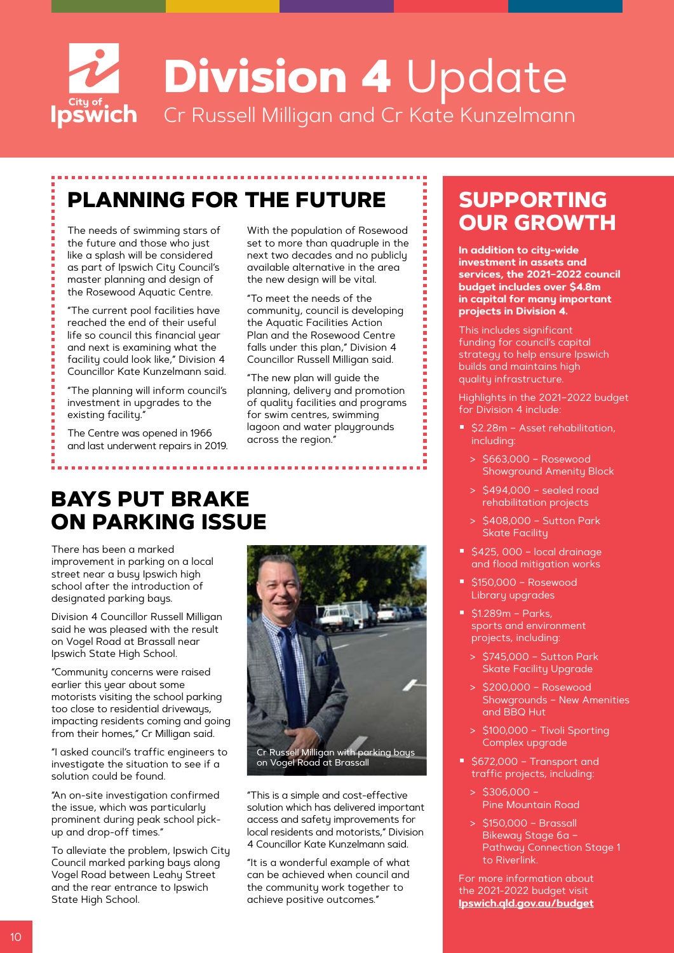

# **PLANNING FOR THE FUTURE**

the future and those who just like a splash will be considered as part of Ipswich City Council's master planning and design of the Rosewood Aquatic Centre.

"The current pool facilities have reached the end of their useful life so council this financial year and next is examining what the facility could look like," Division 4 Councillor Kate Kunzelmann said.

"The planning will inform council's investment in upgrades to the existing facility."

The Centre was opened in 1966 and last underwent repairs in 2019. With the population of Rosewood set to more than quadruple in the next two decades and no publicly available alternative in the area the new design will be vital.

"To meet the needs of the community, council is developing the Aquatic Facilities Action Plan and the Rosewood Centre falls under this plan," Division 4 Councillor Russell Milligan said.

"The new plan will guide the planning, delivery and promotion of quality facilities and programs for swim centres, swimming lagoon and water playgrounds across the region."

### **BAYS PUT BRAKE ON PARKING ISSUE**

There has been a marked improvement in parking on a local street near a busy Ipswich high school after the introduction of designated parking bays.

Division 4 Councillor Russell Milligan said he was pleased with the result on Vogel Road at Brassall near Ipswich State High School.

"Community concerns were raised earlier this year about some motorists visiting the school parking too close to residential driveways, impacting residents coming and going from their homes," Cr Milligan said.

"I asked council's traffic engineers to investigate the situation to see if a solution could be found.

"An on-site investigation confirmed the issue, which was particularly prominent during peak school pickup and drop-off times."

To alleviate the problem, Ipswich City Council marked parking bays along Vogel Road between Leahy Street and the rear entrance to Ipswich State High School.



Cr Russell Milligan with parking bays on Vogel Road at Brassall

"This is a simple and cost-effective solution which has delivered important access and safety improvements for local residents and motorists," Division 4 Councillor Kate Kunzelmann said.

"It is a wonderful example of what can be achieved when council and the community work together to achieve positive outcomes."

### **SUPPORTING**  The needs of swimming stars of **With the population of Rosewood OUR GROWTH**

**In addition to city-wide investment in assets and services, the 2021–2022 council budget includes over \$4.8m in capital for many important projects in Division 4.**

This includes significant funding for council's capital strategy to help ensure Ipswich builds and maintains high quality infrastructure.

Highlights in the 2021–2022 budget for Division 4 include:

- **52.28m Asset rehabilitation,** including:
	- > \$663,000 Rosewood Showground Amenity Block
	- > \$494,000 sealed road rehabilitation projects
	- > \$408,000 Sutton Park Skate Facility
- $\approx$  \$425, 000 local drainage and flood mitigation works
- $\blacktriangleright$  \$150,000 Rosewood Library upgrades
- $\blacksquare$  \$1.289m Parks, sports and environment projects, including:
	- > \$745,000 Sutton Park Skate Facility Upgrade
	- > \$200,000 Rosewood Showgrounds – New Amenities and BBQ Hut
	- > \$100,000 Tivoli Sporting Complex upgrade
- S672,000 Transport and traffic projects, including:
	- $> $306.000 -$ Pine Mountain Road
	- > \$150,000 Brassall Bikeway Stage 6a – Pathway Connection Stage 1 to Riverlink.

For more information about the 2021-2022 budget visit **[Ipswich.qld.gov.au/budget](http://Ipswich.qld.gov.au/budget)**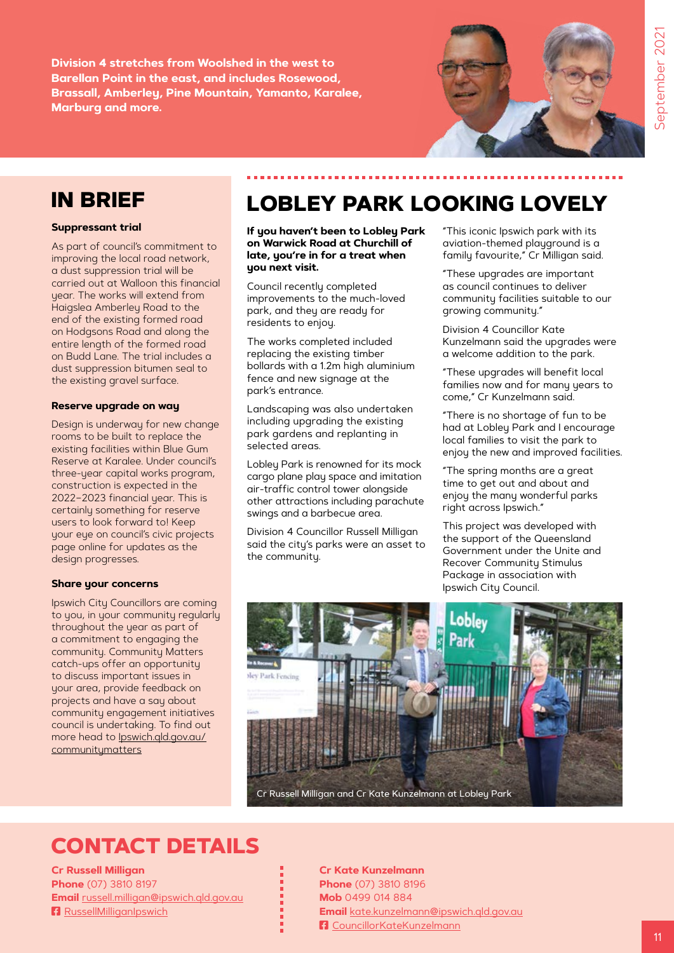**Division 4 stretches from Woolshed in the west to Barellan Point in the east, and includes Rosewood, Brassall, Amberley, Pine Mountain, Yamanto, Karalee, Marburg and more.** 



### **IN BRIEF**

#### **Suppressant trial**

As part of council's commitment to improving the local road network, a dust suppression trial will be carried out at Walloon this financial year. The works will extend from Haigslea Amberley Road to the end of the existing formed road on Hodgsons Road and along the entire length of the formed road on Budd Lane. The trial includes a dust suppression bitumen seal to the existing gravel surface.

#### **Reserve upgrade on way**

Design is underway for new change rooms to be built to replace the existing facilities within Blue Gum Reserve at Karalee. Under council's three-year capital works program, construction is expected in the 2022–2023 financial year. This is certainly something for reserve users to look forward to! Keep your eye on council's civic projects page online for updates as the design progresses.

#### **Share your concerns**

Ipswich City Councillors are coming to you, in your community regularly throughout the year as part of a commitment to engaging the community. Community Matters catch-ups offer an opportunity to discuss important issues in your area, provide feedback on projects and have a say about community engagement initiatives council is undertaking. To find out more head to [Ipswich.qld.gov.au/](http://Ipswich.qld.gov.au/communitymatters) **[communitymatters](http://Ipswich.qld.gov.au/communitymatters)** 

### **LOBLEY PARK LOOKING LOVELY**

**If you haven't been to Lobley Park on Warwick Road at Churchill of late, you're in for a treat when you next visit.**

Council recently completed improvements to the much-loved park, and they are ready for residents to enjoy.

The works completed included replacing the existing timber bollards with a 1.2m high aluminium fence and new signage at the park's entrance.

Landscaping was also undertaken including upgrading the existing park gardens and replanting in selected areas.

Lobley Park is renowned for its mock cargo plane play space and imitation air-traffic control tower alongside other attractions including parachute swings and a barbecue area.

Division 4 Councillor Russell Milligan said the city's parks were an asset to the community.

"This iconic Ipswich park with its aviation-themed playground is a family favourite," Cr Milligan said.

"These upgrades are important as council continues to deliver community facilities suitable to our growing community."

Division 4 Councillor Kate Kunzelmann said the upgrades were a welcome addition to the park.

"These upgrades will benefit local families now and for many years to come," Cr Kunzelmann said.

"There is no shortage of fun to be had at Lobley Park and I encourage local families to visit the park to enjoy the new and improved facilities.

"The spring months are a great time to get out and about and enjoy the many wonderful parks right across Ipswich."

This project was developed with the support of the Queensland Government under the Unite and Recover Community Stimulus Package in association with Ipswich City Council.



### **CONTACT DETAILS**

**Cr Russell Milligan Phone** (07) 3810 8197 **Email** [russell.milligan@ipswich.qld.gov.au](mailto:russell.milligan@ipswich.qld.gov.au) **F** [RussellMilliganIpswich](https://www.facebook.com/RussellMilliganIpswich)

**Cr Kate Kunzelmann Phone** (07) 3810 8196 **Mob** 0499 014 884 **Email** [kate.kunzelmann@ipswich.qld.gov.au](mailto:kate.kunzelmann@ipswich.qld.gov.au) **F** [CouncillorKateKunzelmann](https://www.facebook.com/CouncillorKateKunzelmann)